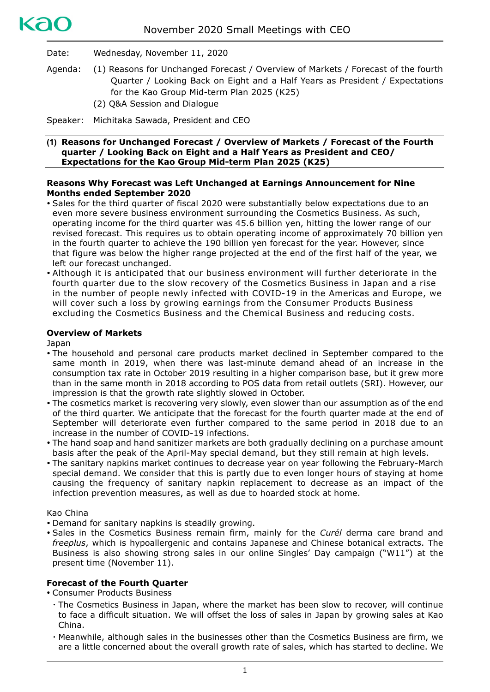

Date: Wednesday, November 11, 2020

- Agenda: (1) Reasons for Unchanged Forecast / Overview of Markets / Forecast of the fourth Quarter / Looking Back on Eight and a Half Years as President / Expectations for the Kao Group Mid-term Plan 2025 (K25)
	- (2) Q&A Session and Dialogue

Speaker: Michitaka Sawada, President and CEO

#### **(1) Reasons for Unchanged Forecast / Overview of Markets / Forecast of the Fourth quarter / Looking Back on Eight and a Half Years as President and CEO/ Expectations for the Kao Group Mid-term Plan 2025 (K25)**

# **Reasons Why Forecast was Left Unchanged at Earnings Announcement for Nine Months ended September 2020**

- Sales for the third quarter of fiscal 2020 were substantially below expectations due to an even more severe business environment surrounding the Cosmetics Business. As such, operating income for the third quarter was 45.6 billion yen, hitting the lower range of our revised forecast. This requires us to obtain operating income of approximately 70 billion yen in the fourth quarter to achieve the 190 billion yen forecast for the year. However, since that figure was below the higher range projected at the end of the first half of the year, we left our forecast unchanged.
- Although it is anticipated that our business environment will further deteriorate in the fourth quarter due to the slow recovery of the Cosmetics Business in Japan and a rise in the number of people newly infected with COVID-19 in the Americas and Europe, we will cover such a loss by growing earnings from the Consumer Products Business excluding the Cosmetics Business and the Chemical Business and reducing costs.

## **Overview of Markets**

Japan

- The household and personal care products market declined in September compared to the same month in 2019, when there was last-minute demand ahead of an increase in the consumption tax rate in October 2019 resulting in a higher comparison base, but it grew more than in the same month in 2018 according to POS data from retail outlets (SRI). However, our impression is that the growth rate slightly slowed in October.
- The cosmetics market is recovering very slowly, even slower than our assumption as of the end of the third quarter. We anticipate that the forecast for the fourth quarter made at the end of September will deteriorate even further compared to the same period in 2018 due to an increase in the number of COVID-19 infections.
- The hand soap and hand sanitizer markets are both gradually declining on a purchase amount basis after the peak of the April-May special demand, but they still remain at high levels.
- The sanitary napkins market continues to decrease year on year following the February-March special demand. We consider that this is partly due to even longer hours of staying at home causing the frequency of sanitary napkin replacement to decrease as an impact of the infection prevention measures, as well as due to hoarded stock at home.

## Kao China

- Demand for sanitary napkins is steadily growing.
- Sales in the Cosmetics Business remain firm, mainly for the *Curél* derma care brand and *freeplus*, which is hypoallergenic and contains Japanese and Chinese botanical extracts. The Business is also showing strong sales in our online Singles' Day campaign ("W11") at the present time (November 11).

## **Forecast of the Fourth Quarter**

Consumer Products Business

- ・ The Cosmetics Business in Japan, where the market has been slow to recover, will continue to face a difficult situation. We will offset the loss of sales in Japan by growing sales at Kao China.
- ・ Meanwhile, although sales in the businesses other than the Cosmetics Business are firm, we are a little concerned about the overall growth rate of sales, which has started to decline. We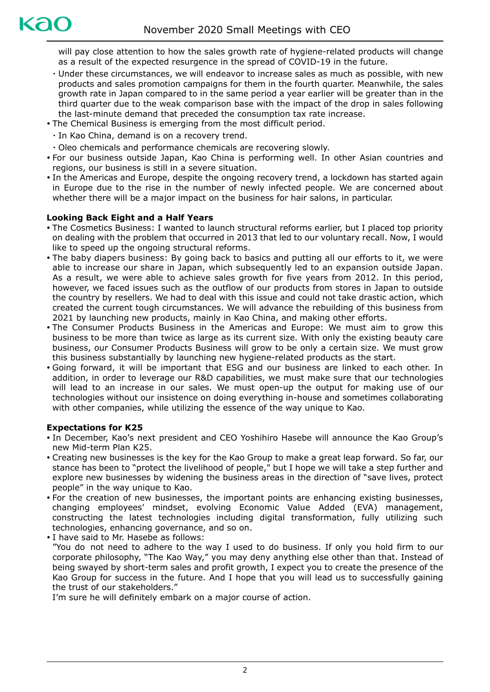will pay close attention to how the sales growth rate of hygiene-related products will change as a result of the expected resurgence in the spread of COVID-19 in the future.

- ・ Under these circumstances, we will endeavor to increase sales as much as possible, with new products and sales promotion campaigns for them in the fourth quarter. Meanwhile, the sales growth rate in Japan compared to in the same period a year earlier will be greater than in the third quarter due to the weak comparison base with the impact of the drop in sales following the last-minute demand that preceded the consumption tax rate increase.
- The Chemical Business is emerging from the most difficult period.
	- ・ In Kao China, demand is on a recovery trend.
- ・ Oleo chemicals and performance chemicals are recovering slowly.
- For our business outside Japan, Kao China is performing well. In other Asian countries and regions, our business is still in a severe situation.
- In the Americas and Europe, despite the ongoing recovery trend, a lockdown has started again in Europe due to the rise in the number of newly infected people. We are concerned about whether there will be a major impact on the business for hair salons, in particular.

# **Looking Back Eight and a Half Years**

- The Cosmetics Business: I wanted to launch structural reforms earlier, but I placed top priority on dealing with the problem that occurred in 2013 that led to our voluntary recall. Now, I would like to speed up the ongoing structural reforms.
- The baby diapers business: By going back to basics and putting all our efforts to it, we were able to increase our share in Japan, which subsequently led to an expansion outside Japan. As a result, we were able to achieve sales growth for five years from 2012. In this period, however, we faced issues such as the outflow of our products from stores in Japan to outside the country by resellers. We had to deal with this issue and could not take drastic action, which created the current tough circumstances. We will advance the rebuilding of this business from 2021 by launching new products, mainly in Kao China, and making other efforts.
- The Consumer Products Business in the Americas and Europe: We must aim to grow this business to be more than twice as large as its current size. With only the existing beauty care business, our Consumer Products Business will grow to be only a certain size. We must grow this business substantially by launching new hygiene-related products as the start.
- Going forward, it will be important that ESG and our business are linked to each other. In addition, in order to leverage our R&D capabilities, we must make sure that our technologies will lead to an increase in our sales. We must open-up the output for making use of our technologies without our insistence on doing everything in-house and sometimes collaborating with other companies, while utilizing the essence of the way unique to Kao.

# **Expectations for K25**

- In December, Kao's next president and CEO Yoshihiro Hasebe will announce the Kao Group's new Mid-term Plan K25.
- Creating new businesses is the key for the Kao Group to make a great leap forward. So far, our stance has been to "protect the livelihood of people," but I hope we will take a step further and explore new businesses by widening the business areas in the direction of "save lives, protect people" in the way unique to Kao.
- For the creation of new businesses, the important points are enhancing existing businesses, changing employees' mindset, evolving Economic Value Added (EVA) management, constructing the latest technologies including digital transformation, fully utilizing such technologies, enhancing governance, and so on.
- I have said to Mr. Hasebe as follows: "You do not need to adhere to the way I used to do business. If only you hold firm to our corporate philosophy, "The Kao Way," you may deny anything else other than that. Instead of being swayed by short-term sales and profit growth, I expect you to create the presence of the Kao Group for success in the future. And I hope that you will lead us to successfully gaining the trust of our stakeholders."

I'm sure he will definitely embark on a major course of action.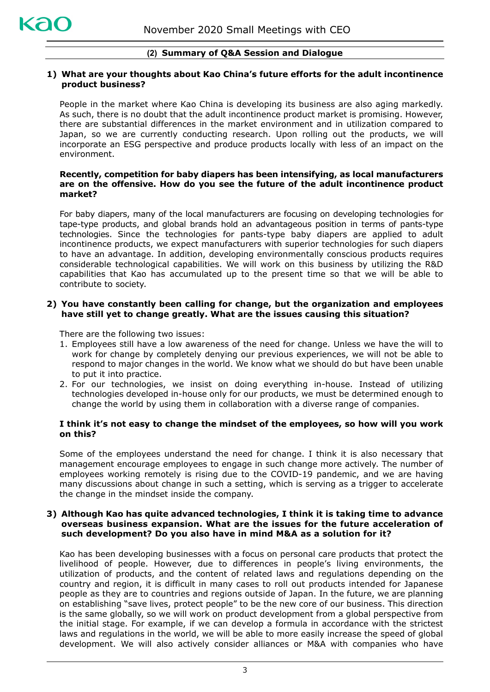# **(2) Summary of Q&A Session and Dialogue**

## **1) What are your thoughts about Kao China's future efforts for the adult incontinence product business?**

People in the market where Kao China is developing its business are also aging markedly. As such, there is no doubt that the adult incontinence product market is promising. However, there are substantial differences in the market environment and in utilization compared to Japan, so we are currently conducting research. Upon rolling out the products, we will incorporate an ESG perspective and produce products locally with less of an impact on the environment.

## **Recently, competition for baby diapers has been intensifying, as local manufacturers are on the offensive. How do you see the future of the adult incontinence product market?**

For baby diapers, many of the local manufacturers are focusing on developing technologies for tape-type products, and global brands hold an advantageous position in terms of pants-type technologies. Since the technologies for pants-type baby diapers are applied to adult incontinence products, we expect manufacturers with superior technologies for such diapers to have an advantage. In addition, developing environmentally conscious products requires considerable technological capabilities. We will work on this business by utilizing the R&D capabilities that Kao has accumulated up to the present time so that we will be able to contribute to society.

#### **2) You have constantly been calling for change, but the organization and employees have still yet to change greatly. What are the issues causing this situation?**

There are the following two issues:

- 1. Employees still have a low awareness of the need for change. Unless we have the will to work for change by completely denying our previous experiences, we will not be able to respond to major changes in the world. We know what we should do but have been unable to put it into practice.
- 2. For our technologies, we insist on doing everything in-house. Instead of utilizing technologies developed in-house only for our products, we must be determined enough to change the world by using them in collaboration with a diverse range of companies.

## **I think it's not easy to change the mindset of the employees, so how will you work on this?**

Some of the employees understand the need for change. I think it is also necessary that management encourage employees to engage in such change more actively. The number of employees working remotely is rising due to the COVID-19 pandemic, and we are having many discussions about change in such a setting, which is serving as a trigger to accelerate the change in the mindset inside the company.

#### **3) Although Kao has quite advanced technologies, I think it is taking time to advance overseas business expansion. What are the issues for the future acceleration of such development? Do you also have in mind M&A as a solution for it?**

Kao has been developing businesses with a focus on personal care products that protect the livelihood of people. However, due to differences in people's living environments, the utilization of products, and the content of related laws and regulations depending on the country and region, it is difficult in many cases to roll out products intended for Japanese people as they are to countries and regions outside of Japan. In the future, we are planning on establishing "save lives, protect people" to be the new core of our business. This direction is the same globally, so we will work on product development from a global perspective from the initial stage. For example, if we can develop a formula in accordance with the strictest laws and regulations in the world, we will be able to more easily increase the speed of global development. We will also actively consider alliances or M&A with companies who have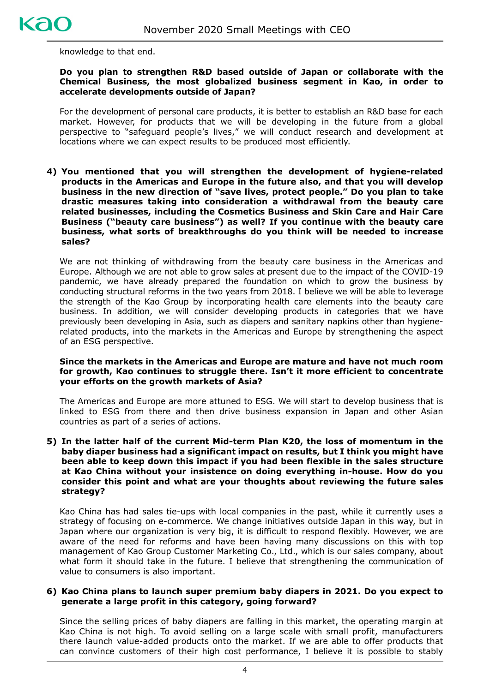

knowledge to that end.

## **Do you plan to strengthen R&D based outside of Japan or collaborate with the Chemical Business, the most globalized business segment in Kao, in order to accelerate developments outside of Japan?**

For the development of personal care products, it is better to establish an R&D base for each market. However, for products that we will be developing in the future from a global perspective to "safeguard people's lives," we will conduct research and development at locations where we can expect results to be produced most efficiently.

**4) You mentioned that you will strengthen the development of hygiene-related products in the Americas and Europe in the future also, and that you will develop business in the new direction of "save lives, protect people." Do you plan to take drastic measures taking into consideration a withdrawal from the beauty care related businesses, including the Cosmetics Business and Skin Care and Hair Care Business ("beauty care business") as well? If you continue with the beauty care business, what sorts of breakthroughs do you think will be needed to increase sales?**

We are not thinking of withdrawing from the beauty care business in the Americas and Europe. Although we are not able to grow sales at present due to the impact of the COVID-19 pandemic, we have already prepared the foundation on which to grow the business by conducting structural reforms in the two years from 2018. I believe we will be able to leverage the strength of the Kao Group by incorporating health care elements into the beauty care business. In addition, we will consider developing products in categories that we have previously been developing in Asia, such as diapers and sanitary napkins other than hygienerelated products, into the markets in the Americas and Europe by strengthening the aspect of an ESG perspective.

#### **Since the markets in the Americas and Europe are mature and have not much room for growth, Kao continues to struggle there. Isn't it more efficient to concentrate your efforts on the growth markets of Asia?**

The Americas and Europe are more attuned to ESG. We will start to develop business that is linked to ESG from there and then drive business expansion in Japan and other Asian countries as part of a series of actions.

**5) In the latter half of the current Mid-term Plan K20, the loss of momentum in the baby diaper business had a significant impact on results, but I think you might have been able to keep down this impact if you had been flexible in the sales structure at Kao China without your insistence on doing everything in-house. How do you consider this point and what are your thoughts about reviewing the future sales strategy?**

Kao China has had sales tie-ups with local companies in the past, while it currently uses a strategy of focusing on e-commerce. We change initiatives outside Japan in this way, but in Japan where our organization is very big, it is difficult to respond flexibly. However, we are aware of the need for reforms and have been having many discussions on this with top management of Kao Group Customer Marketing Co., Ltd., which is our sales company, about what form it should take in the future. I believe that strengthening the communication of value to consumers is also important.

# **6) Kao China plans to launch super premium baby diapers in 2021. Do you expect to generate a large profit in this category, going forward?**

Since the selling prices of baby diapers are falling in this market, the operating margin at Kao China is not high. To avoid selling on a large scale with small profit, manufacturers there launch value-added products onto the market. If we are able to offer products that can convince customers of their high cost performance, I believe it is possible to stably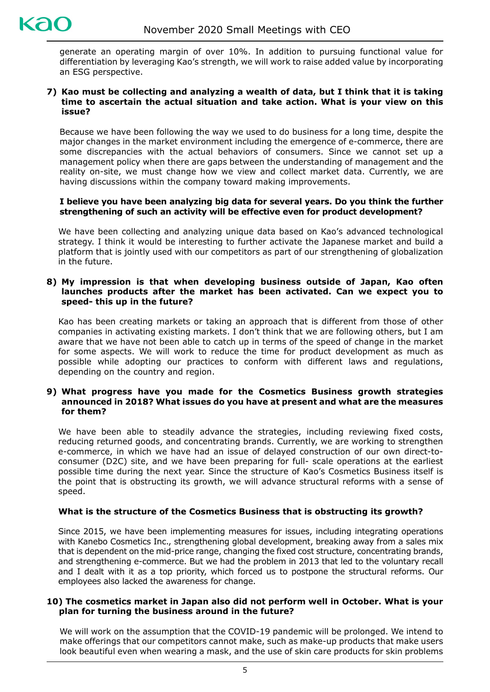generate an operating margin of over 10%. In addition to pursuing functional value for differentiation by leveraging Kao's strength, we will work to raise added value by incorporating an ESG perspective.

#### **7) Kao must be collecting and analyzing a wealth of data, but I think that it is taking time to ascertain the actual situation and take action. What is your view on this issue?**

Because we have been following the way we used to do business for a long time, despite the major changes in the market environment including the emergence of e-commerce, there are some discrepancies with the actual behaviors of consumers. Since we cannot set up a management policy when there are gaps between the understanding of management and the reality on-site, we must change how we view and collect market data. Currently, we are having discussions within the company toward making improvements.

## **I believe you have been analyzing big data for several years. Do you think the further strengthening of such an activity will be effective even for product development?**

We have been collecting and analyzing unique data based on Kao's advanced technological strategy. I think it would be interesting to further activate the Japanese market and build a platform that is jointly used with our competitors as part of our strengthening of globalization in the future.

# **8) My impression is that when developing business outside of Japan, Kao often launches products after the market has been activated. Can we expect you to speed- this up in the future?**

Kao has been creating markets or taking an approach that is different from those of other companies in activating existing markets. I don't think that we are following others, but I am aware that we have not been able to catch up in terms of the speed of change in the market for some aspects. We will work to reduce the time for product development as much as possible while adopting our practices to conform with different laws and regulations, depending on the country and region.

#### **9) What progress have you made for the Cosmetics Business growth strategies announced in 2018? What issues do you have at present and what are the measures for them?**

We have been able to steadily advance the strategies, including reviewing fixed costs, reducing returned goods, and concentrating brands. Currently, we are working to strengthen e-commerce, in which we have had an issue of delayed construction of our own direct-toconsumer (D2C) site, and we have been preparing for full- scale operations at the earliest possible time during the next year. Since the structure of Kao's Cosmetics Business itself is the point that is obstructing its growth, we will advance structural reforms with a sense of speed.

# **What is the structure of the Cosmetics Business that is obstructing its growth?**

Since 2015, we have been implementing measures for issues, including integrating operations with Kanebo Cosmetics Inc., strengthening global development, breaking away from a sales mix that is dependent on the mid-price range, changing the fixed cost structure, concentrating brands, and strengthening e-commerce. But we had the problem in 2013 that led to the voluntary recall and I dealt with it as a top priority, which forced us to postpone the structural reforms. Our employees also lacked the awareness for change.

## **10) The cosmetics market in Japan also did not perform well in October. What is your plan for turning the business around in the future?**

We will work on the assumption that the COVID-19 pandemic will be prolonged. We intend to make offerings that our competitors cannot make, such as make-up products that make users look beautiful even when wearing a mask, and the use of skin care products for skin problems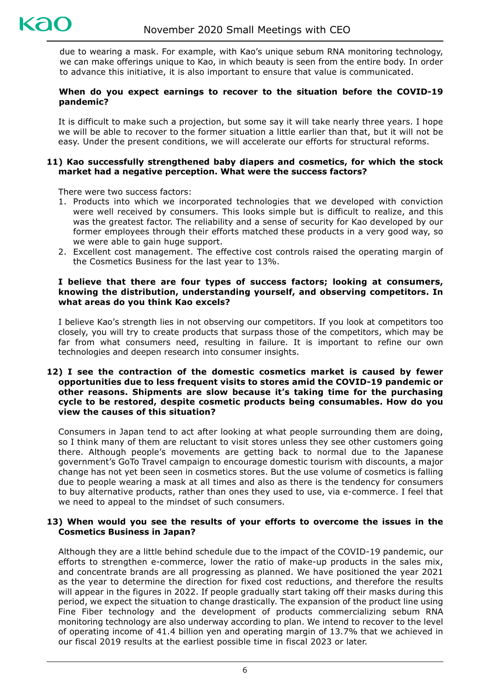due to wearing a mask. For example, with Kao's unique sebum RNA monitoring technology, we can make offerings unique to Kao, in which beauty is seen from the entire body. In order to advance this initiative, it is also important to ensure that value is communicated.

# **When do you expect earnings to recover to the situation before the COVID-19 pandemic?**

It is difficult to make such a projection, but some say it will take nearly three years. I hope we will be able to recover to the former situation a little earlier than that, but it will not be easy. Under the present conditions, we will accelerate our efforts for structural reforms.

# **11) Kao successfully strengthened baby diapers and cosmetics, for which the stock market had a negative perception. What were the success factors?**

There were two success factors:

- 1. Products into which we incorporated technologies that we developed with conviction were well received by consumers. This looks simple but is difficult to realize, and this was the greatest factor. The reliability and a sense of security for Kao developed by our former employees through their efforts matched these products in a very good way, so we were able to gain huge support.
- 2. Excellent cost management. The effective cost controls raised the operating margin of the Cosmetics Business for the last year to 13%.

# **I believe that there are four types of success factors; looking at consumers, knowing the distribution, understanding yourself, and observing competitors. In what areas do you think Kao excels?**

I believe Kao's strength lies in not observing our competitors. If you look at competitors too closely, you will try to create products that surpass those of the competitors, which may be far from what consumers need, resulting in failure. It is important to refine our own technologies and deepen research into consumer insights.

#### **12) I see the contraction of the domestic cosmetics market is caused by fewer opportunities due to less frequent visits to stores amid the COVID-19 pandemic or other reasons. Shipments are slow because it's taking time for the purchasing cycle to be restored, despite cosmetic products being consumables. How do you view the causes of this situation?**

Consumers in Japan tend to act after looking at what people surrounding them are doing, so I think many of them are reluctant to visit stores unless they see other customers going there. Although people's movements are getting back to normal due to the Japanese government's GoTo Travel campaign to encourage domestic tourism with discounts, a major change has not yet been seen in cosmetics stores. But the use volume of cosmetics is falling due to people wearing a mask at all times and also as there is the tendency for consumers to buy alternative products, rather than ones they used to use, via e-commerce. I feel that we need to appeal to the mindset of such consumers.

## **13) When would you see the results of your efforts to overcome the issues in the Cosmetics Business in Japan?**

Although they are a little behind schedule due to the impact of the COVID-19 pandemic, our efforts to strengthen e-commerce, lower the ratio of make-up products in the sales mix, and concentrate brands are all progressing as planned. We have positioned the year 2021 as the year to determine the direction for fixed cost reductions, and therefore the results will appear in the figures in 2022. If people gradually start taking off their masks during this period, we expect the situation to change drastically. The expansion of the product line using Fine Fiber technology and the development of products commercializing sebum RNA monitoring technology are also underway according to plan. We intend to recover to the level of operating income of 41.4 billion yen and operating margin of 13.7% that we achieved in our fiscal 2019 results at the earliest possible time in fiscal 2023 or later.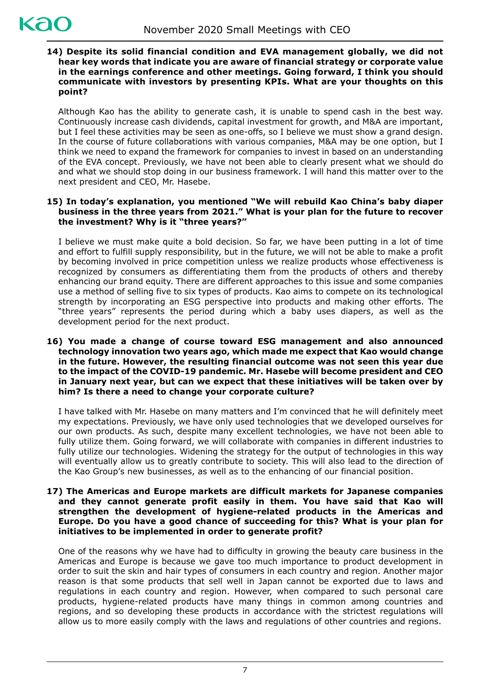# **14) Despite its solid financial condition and EVA management globally, we did not hear key words that indicate you are aware of financial strategy or corporate value in the earnings conference and other meetings. Going forward, I think you should communicate with investors by presenting KPIs. What are your thoughts on this point?**

Although Kao has the ability to generate cash, it is unable to spend cash in the best way. Continuously increase cash dividends, capital investment for growth, and M&A are important, but I feel these activities may be seen as one-offs, so I believe we must show a grand design. In the course of future collaborations with various companies, M&A may be one option, but I think we need to expand the framework for companies to invest in based on an understanding of the EVA concept. Previously, we have not been able to clearly present what we should do and what we should stop doing in our business framework. I will hand this matter over to the next president and CEO, Mr. Hasebe.

# **15) In today's explanation, you mentioned "We will rebuild Kao China's baby diaper business in the three years from 2021." What is your plan for the future to recover the investment? Why is it "three years?"**

I believe we must make quite a bold decision. So far, we have been putting in a lot of time and effort to fulfill supply responsibility, but in the future, we will not be able to make a profit by becoming involved in price competition unless we realize products whose effectiveness is recognized by consumers as differentiating them from the products of others and thereby enhancing our brand equity. There are different approaches to this issue and some companies use a method of selling five to six types of products. Kao aims to compete on its technological strength by incorporating an ESG perspective into products and making other efforts. The "three years" represents the period during which a baby uses diapers, as well as the development period for the next product.

#### **16) You made a change of course toward ESG management and also announced technology innovation two years ago, which made me expect that Kao would change in the future. However, the resulting financial outcome was not seen this year due to the impact of the COVID-19 pandemic. Mr. Hasebe will become president and CEO in January next year, but can we expect that these initiatives will be taken over by him? Is there a need to change your corporate culture?**

I have talked with Mr. Hasebe on many matters and I'm convinced that he will definitely meet my expectations. Previously, we have only used technologies that we developed ourselves for our own products. As such, despite many excellent technologies, we have not been able to fully utilize them. Going forward, we will collaborate with companies in different industries to fully utilize our technologies. Widening the strategy for the output of technologies in this way will eventually allow us to greatly contribute to society. This will also lead to the direction of the Kao Group's new businesses, as well as to the enhancing of our financial position.

## **17) The Americas and Europe markets are difficult markets for Japanese companies and they cannot generate profit easily in them. You have said that Kao will strengthen the development of hygiene-related products in the Americas and Europe. Do you have a good chance of succeeding for this? What is your plan for initiatives to be implemented in order to generate profit?**

One of the reasons why we have had to difficulty in growing the beauty care business in the Americas and Europe is because we gave too much importance to product development in order to suit the skin and hair types of consumers in each country and region. Another major reason is that some products that sell well in Japan cannot be exported due to laws and regulations in each country and region. However, when compared to such personal care products, hygiene-related products have many things in common among countries and regions, and so developing these products in accordance with the strictest regulations will allow us to more easily comply with the laws and regulations of other countries and regions.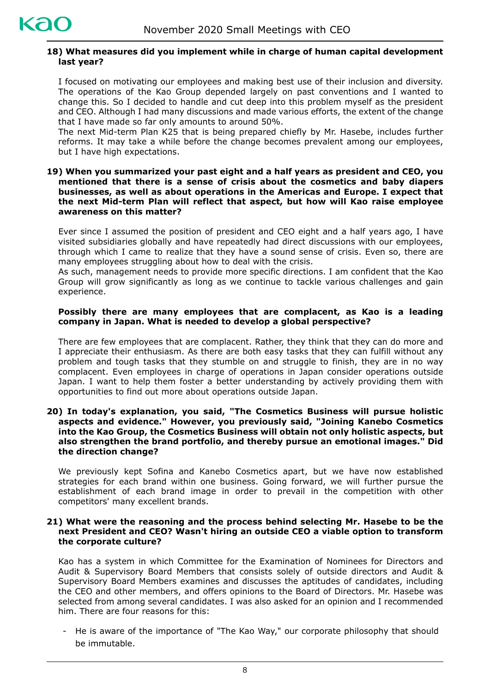

# **18) What measures did you implement while in charge of human capital development last year?**

I focused on motivating our employees and making best use of their inclusion and diversity. The operations of the Kao Group depended largely on past conventions and I wanted to change this. So I decided to handle and cut deep into this problem myself as the president and CEO. Although I had many discussions and made various efforts, the extent of the change that I have made so far only amounts to around 50%.

The next Mid-term Plan K25 that is being prepared chiefly by Mr. Hasebe, includes further reforms. It may take a while before the change becomes prevalent among our employees, but I have high expectations.

#### **19) When you summarized your past eight and a half years as president and CEO, you mentioned that there is a sense of crisis about the cosmetics and baby diapers businesses, as well as about operations in the Americas and Europe. I expect that the next Mid-term Plan will reflect that aspect, but how will Kao raise employee awareness on this matter?**

Ever since I assumed the position of president and CEO eight and a half years ago, I have visited subsidiaries globally and have repeatedly had direct discussions with our employees, through which I came to realize that they have a sound sense of crisis. Even so, there are many employees struggling about how to deal with the crisis.

As such, management needs to provide more specific directions. I am confident that the Kao Group will grow significantly as long as we continue to tackle various challenges and gain experience.

# **Possibly there are many employees that are complacent, as Kao is a leading company in Japan. What is needed to develop a global perspective?**

There are few employees that are complacent. Rather, they think that they can do more and I appreciate their enthusiasm. As there are both easy tasks that they can fulfill without any problem and tough tasks that they stumble on and struggle to finish, they are in no way complacent. Even employees in charge of operations in Japan consider operations outside Japan. I want to help them foster a better understanding by actively providing them with opportunities to find out more about operations outside Japan.

#### **20) In today's explanation, you said, "The Cosmetics Business will pursue holistic aspects and evidence." However, you previously said, "Joining Kanebo Cosmetics into the Kao Group, the Cosmetics Business will obtain not only holistic aspects, but also strengthen the brand portfolio, and thereby pursue an emotional images." Did the direction change?**

We previously kept Sofina and Kanebo Cosmetics apart, but we have now established strategies for each brand within one business. Going forward, we will further pursue the establishment of each brand image in order to prevail in the competition with other competitors' many excellent brands.

## **21) What were the reasoning and the process behind selecting Mr. Hasebe to be the next President and CEO? Wasn't hiring an outside CEO a viable option to transform the corporate culture?**

Kao has a system in which Committee for the Examination of Nominees for Directors and Audit & Supervisory Board Members that consists solely of outside directors and Audit & Supervisory Board Members examines and discusses the aptitudes of candidates, including the CEO and other members, and offers opinions to the Board of Directors. Mr. Hasebe was selected from among several candidates. I was also asked for an opinion and I recommended him. There are four reasons for this:

- He is aware of the importance of "The Kao Way," our corporate philosophy that should be immutable.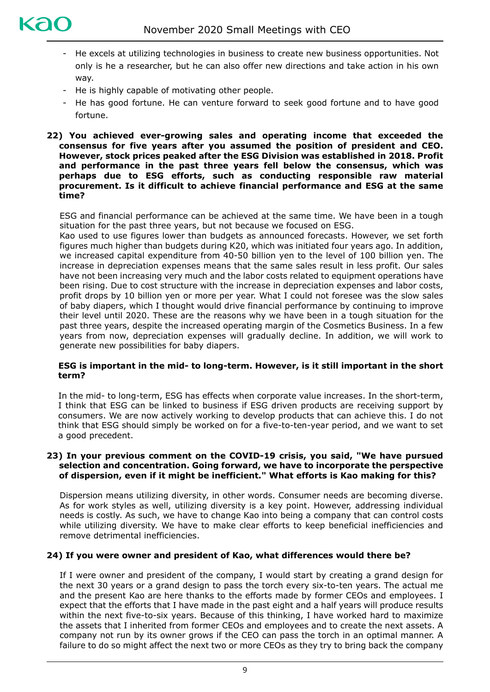

- He excels at utilizing technologies in business to create new business opportunities. Not only is he a researcher, but he can also offer new directions and take action in his own way.
- He is highly capable of motivating other people.
- He has good fortune. He can venture forward to seek good fortune and to have good fortune.

# **22) You achieved ever-growing sales and operating income that exceeded the consensus for five years after you assumed the position of president and CEO. However, stock prices peaked after the ESG Division was established in 2018. Profit and performance in the past three years fell below the consensus, which was perhaps due to ESG efforts, such as conducting responsible raw material procurement. Is it difficult to achieve financial performance and ESG at the same time?**

ESG and financial performance can be achieved at the same time. We have been in a tough situation for the past three years, but not because we focused on ESG.

Kao used to use figures lower than budgets as announced forecasts. However, we set forth figures much higher than budgets during K20, which was initiated four years ago. In addition, we increased capital expenditure from 40-50 billion yen to the level of 100 billion yen. The increase in depreciation expenses means that the same sales result in less profit. Our sales have not been increasing very much and the labor costs related to equipment operations have been rising. Due to cost structure with the increase in depreciation expenses and labor costs, profit drops by 10 billion yen or more per year. What I could not foresee was the slow sales of baby diapers, which I thought would drive financial performance by continuing to improve their level until 2020. These are the reasons why we have been in a tough situation for the past three years, despite the increased operating margin of the Cosmetics Business. In a few years from now, depreciation expenses will gradually decline. In addition, we will work to generate new possibilities for baby diapers.

## **ESG is important in the mid- to long-term. However, is it still important in the short term?**

In the mid- to long-term, ESG has effects when corporate value increases. In the short-term, I think that ESG can be linked to business if ESG driven products are receiving support by consumers. We are now actively working to develop products that can achieve this. I do not think that ESG should simply be worked on for a five-to-ten-year period, and we want to set a good precedent.

# **23) In your previous comment on the COVID-19 crisis, you said, "We have pursued selection and concentration. Going forward, we have to incorporate the perspective of dispersion, even if it might be inefficient." What efforts is Kao making for this?**

Dispersion means utilizing diversity, in other words. Consumer needs are becoming diverse. As for work styles as well, utilizing diversity is a key point. However, addressing individual needs is costly. As such, we have to change Kao into being a company that can control costs while utilizing diversity. We have to make clear efforts to keep beneficial inefficiencies and remove detrimental inefficiencies.

# **24) If you were owner and president of Kao, what differences would there be?**

If I were owner and president of the company, I would start by creating a grand design for the next 30 years or a grand design to pass the torch every six-to-ten years. The actual me and the present Kao are here thanks to the efforts made by former CEOs and employees. I expect that the efforts that I have made in the past eight and a half years will produce results within the next five-to-six years. Because of this thinking, I have worked hard to maximize the assets that I inherited from former CEOs and employees and to create the next assets. A company not run by its owner grows if the CEO can pass the torch in an optimal manner. A failure to do so might affect the next two or more CEOs as they try to bring back the company